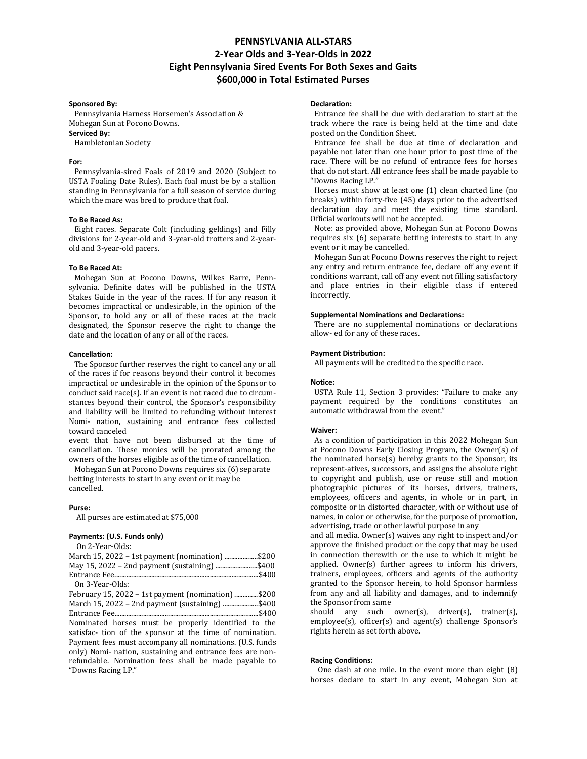# **PENNSYLVANIA ALL-STARS 2-Year Olds and 3-Year-Olds in 2022 Eight Pennsylvania Sired Events For Both Sexes and Gaits \$600,000 in Total Estimated Purses**

#### **Sponsored By:**

 Pennsylvania Harness Horsemen's Association & Mohegan Sun at Pocono Downs.

# **Serviced By:**

Hambletonian Society

# **For:**

 Pennsylvania-sired Foals of 2019 and 2020 (Subject to USTA Foaling Date Rules). Each foal must be by a stallion standing in Pennsylvania for a full season of service during which the mare was bred to produce that foal.

### **To Be Raced As:**

 Eight races. Separate Colt (including geldings) and Filly divisions for 2-year-old and 3-year-old trotters and 2-yearold and 3-year-old pacers.

#### **To Be Raced At:**

 Mohegan Sun at Pocono Downs, Wilkes Barre, Pennsylvania. Definite dates will be published in the USTA Stakes Guide in the year of the races. If for any reason it becomes impractical or undesirable, in the opinion of the Sponsor, to hold any or all of these races at the track designated, the Sponsor reserve the right to change the date and the location of any or all of the races.

#### **Cancellation:**

 The Sponsor further reserves the right to cancel any or all of the races if for reasons beyond their control it becomes impractical or undesirable in the opinion of the Sponsor to conduct said race(s). If an event is not raced due to circumstances beyond their control, the Sponsor's responsibility and liability will be limited to refunding without interest Nomi- nation, sustaining and entrance fees collected toward canceled

event that have not been disbursed at the time of cancellation. These monies will be prorated among the owners of the horses eligible as of the time of cancellation.

 Mohegan Sun at Pocono Downs requires six (6) separate betting interests to start in any event or it may be cancelled.

#### **Purse:**

All purses are estimated at \$75,000

| Payments: (U.S. Funds only)<br>On 2-Year-Olds:                                                                                                                                                                                                                                                                                                             |
|------------------------------------------------------------------------------------------------------------------------------------------------------------------------------------------------------------------------------------------------------------------------------------------------------------------------------------------------------------|
| \$200.<br>\$400.                                                                                                                                                                                                                                                                                                                                           |
| .\$400<br>On 3-Year-Olds:                                                                                                                                                                                                                                                                                                                                  |
| February 15, 2022 – 1st payment (nomination) \$200<br>March 15, 2022 – 2nd payment (sustaining) \$400<br>\$400<br>Nominated horses must be properly identified to the<br>satisfac- tion of the sponsor at the time of nomination.<br>Payment fees must accompany all nominations. (U.S. funds<br>only) Nomi- nation, sustaining and entrance fees are non- |
| refundable. Nomination fees shall be made payable to<br>"Downs Racing LP."                                                                                                                                                                                                                                                                                 |

#### **Declaration:**

Entrance fee shall be due with declaration to start at the track where the race is being held at the time and date posted on the Condition Sheet.

 Entrance fee shall be due at time of declaration and payable not later than one hour prior to post time of the race. There will be no refund of entrance fees for horses that do not start. All entrance fees shall be made payable to "Downs Racing LP."

 Horses must show at least one (1) clean charted line (no breaks) within forty-five (45) days prior to the advertised declaration day and meet the existing time standard. Official workouts will not be accepted.

 Note: as provided above, Mohegan Sun at Pocono Downs requires six (6) separate betting interests to start in any event or it may be cancelled.

 Mohegan Sun at Pocono Downs reserves the right to reject any entry and return entrance fee, declare off any event if conditions warrant, call off any event not filling satisfactory and place entries in their eligible class if entered incorrectly.

#### **Supplemental Nominations and Declarations:**

 There are no supplemental nominations or declarations allow- ed for any of these races.

### **Payment Distribution:**

All payments will be credited to the specific race.

#### **Notice:**

 USTA Rule 11, Section 3 provides: "Failure to make any payment required by the conditions constitutes an automatic withdrawal from the event."

#### **Waiver:**

 As a condition of participation in this 2022 Mohegan Sun at Pocono Downs Early Closing Program, the Owner(s) of the nominated horse(s) hereby grants to the Sponsor, its represent-atives, successors, and assigns the absolute right to copyright and publish, use or reuse still and motion photographic pictures of its horses, drivers, trainers, employees, officers and agents, in whole or in part, in composite or in distorted character, with or without use of names, in color or otherwise, for the purpose of promotion, advertising, trade or other lawful purpose in any

and all media. Owner(s) waives any right to inspect and/or approve the finished product or the copy that may be used in connection therewith or the use to which it might be applied. Owner(s) further agrees to inform his drivers, trainers, employees, officers and agents of the authority granted to the Sponsor herein, to hold Sponsor harmless from any and all liability and damages, and to indemnify the Sponsor from same

should any such owner(s), driver(s), trainer(s), employee(s), officer(s) and agent(s) challenge Sponsor's rights herein as set forth above.

#### **Racing Conditions:**

 One dash at one mile. In the event more than eight (8) horses declare to start in any event, Mohegan Sun at